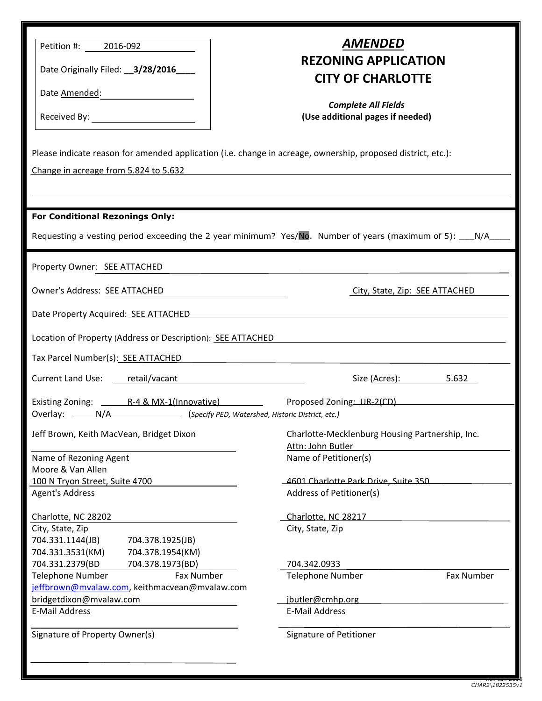| Petition #: 2016-092<br>Date Originally Filed: __ 3/28/2016____<br>Date Amended: 2008                                                                                                                                                | AMENDED<br><b>REZONING APPLICATION</b><br><b>CITY OF CHARLOTTE</b><br><b>Complete All Fields</b><br>(Use additional pages if needed) |  |  |  |  |
|--------------------------------------------------------------------------------------------------------------------------------------------------------------------------------------------------------------------------------------|--------------------------------------------------------------------------------------------------------------------------------------|--|--|--|--|
| Please indicate reason for amended application (i.e. change in acreage, ownership, proposed district, etc.):                                                                                                                         |                                                                                                                                      |  |  |  |  |
| Change in acreage from 5.824 to 5.632 <b>Sandbarn Change in a structure of the structure of the structure of the structure of the structure of the structure of the structure of the structure of the structure of the structure</b> |                                                                                                                                      |  |  |  |  |
|                                                                                                                                                                                                                                      |                                                                                                                                      |  |  |  |  |
|                                                                                                                                                                                                                                      |                                                                                                                                      |  |  |  |  |
| <b>For Conditional Rezonings Only:</b>                                                                                                                                                                                               |                                                                                                                                      |  |  |  |  |
| Requesting a vesting period exceeding the 2 year minimum? Yes/No. Number of years (maximum of 5): N/A____                                                                                                                            |                                                                                                                                      |  |  |  |  |
| Property Owner: SEE ATTACHED                                                                                                                                                                                                         |                                                                                                                                      |  |  |  |  |
|                                                                                                                                                                                                                                      |                                                                                                                                      |  |  |  |  |
| Owner's Address: SEE ATTACHED<br>City, State, Zip: SEE ATTACHED                                                                                                                                                                      |                                                                                                                                      |  |  |  |  |
| Date Property Acquired: SEE ATTACHED <b>And Accept Act Accept Accept Accept Accept Accept Accept Accept Accept Accept</b>                                                                                                            |                                                                                                                                      |  |  |  |  |
| Location of Property (Address or Description): SEE ATTACHED                                                                                                                                                                          |                                                                                                                                      |  |  |  |  |
|                                                                                                                                                                                                                                      |                                                                                                                                      |  |  |  |  |
| Tax Parcel Number(s): SEE ATTACHED<br><u> 1980 - Jan Stein Stein Stein Stein Stein Stein Stein Stein Stein Stein Stein Stein Stein Stein Stein Stein S</u>                                                                           |                                                                                                                                      |  |  |  |  |
| Current Land Use: retail/vacant                                                                                                                                                                                                      | Size (Acres): 5.632                                                                                                                  |  |  |  |  |
|                                                                                                                                                                                                                                      |                                                                                                                                      |  |  |  |  |
| Overlay: _______ N/A _________________________ (Specify PED, Watershed, Historic District, etc.)                                                                                                                                     |                                                                                                                                      |  |  |  |  |
| Jeff Brown, Keith MacVean, Bridget Dixon                                                                                                                                                                                             | Charlotte-Mecklenburg Housing Partnership, Inc.<br>Attn: John Butler                                                                 |  |  |  |  |
| Name of Rezoning Agent                                                                                                                                                                                                               | Name of Petitioner(s)                                                                                                                |  |  |  |  |
| Moore & Van Allen                                                                                                                                                                                                                    |                                                                                                                                      |  |  |  |  |
| 100 N Tryon Street, Suite 4700                                                                                                                                                                                                       | 4601 Charlotte Park Drive, Suite 350                                                                                                 |  |  |  |  |
| <b>Agent's Address</b>                                                                                                                                                                                                               | Address of Petitioner(s)                                                                                                             |  |  |  |  |
| Charlotte, NC 28202                                                                                                                                                                                                                  | Charlotte, NC 28217                                                                                                                  |  |  |  |  |
| City, State, Zip                                                                                                                                                                                                                     | City, State, Zip                                                                                                                     |  |  |  |  |
| 704.331.1144(JB)<br>704.378.1925(JB)                                                                                                                                                                                                 |                                                                                                                                      |  |  |  |  |
| 704.331.3531(KM)<br>704.378.1954(KM)                                                                                                                                                                                                 |                                                                                                                                      |  |  |  |  |
| 704.331.2379(BD<br>704.378.1973(BD)                                                                                                                                                                                                  | 704.342.0933                                                                                                                         |  |  |  |  |
| Telephone Number<br>Fax Number                                                                                                                                                                                                       | <b>Telephone Number</b><br>Fax Number                                                                                                |  |  |  |  |
| jeffbrown@mvalaw.com, keithmacvean@mvalaw.com<br>bridgetdixon@mvalaw.com<br>jbutler@cmhp.org                                                                                                                                         |                                                                                                                                      |  |  |  |  |
| <b>E-Mail Address</b>                                                                                                                                                                                                                | E-Mail Address                                                                                                                       |  |  |  |  |
|                                                                                                                                                                                                                                      |                                                                                                                                      |  |  |  |  |
| Signature of Property Owner(s)                                                                                                                                                                                                       | Signature of Petitioner                                                                                                              |  |  |  |  |
|                                                                                                                                                                                                                                      |                                                                                                                                      |  |  |  |  |
|                                                                                                                                                                                                                                      |                                                                                                                                      |  |  |  |  |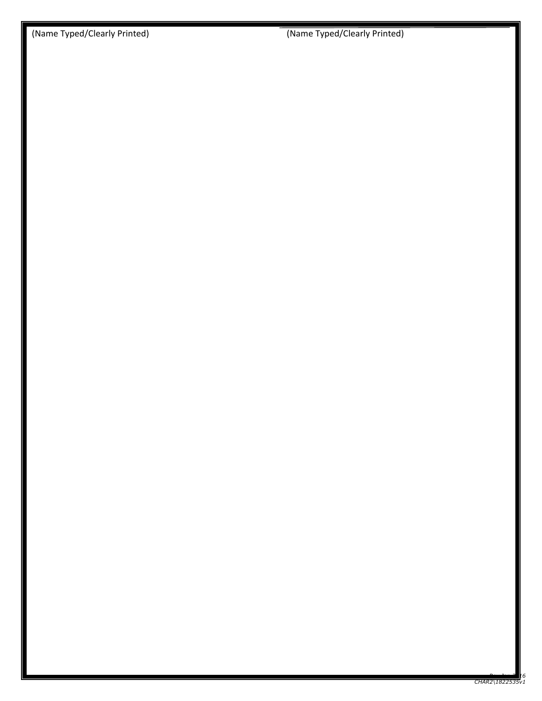(Name Typed/Clearly Printed) (Name Typed/Clearly Printed)